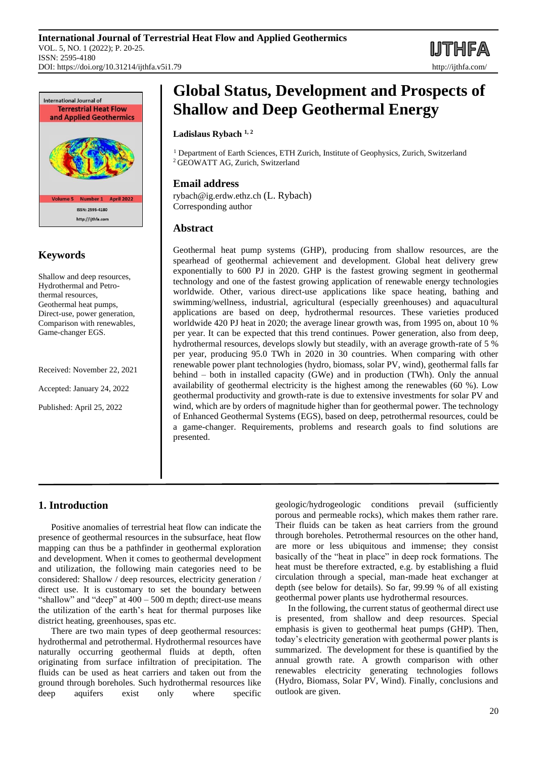



# **Keywords**

Shallow and deep resources, Hydrothermal and Petrothermal resources, Geothermal heat pumps, Direct-use, power generation, Comparison with renewables, Game-changer EGS.

Received: November 22, 2021

Accepted: January 24, 2022

Published: April 25, 2022

# **Global Status, Development and Prospects of Shallow and Deep Geothermal Energy**

## **Ladislaus Rybach 1, 2**

<sup>1</sup> Department of Earth Sciences, ETH Zurich, Institute of Geophysics, Zurich, Switzerland <sup>2</sup> GEOWATT AG, Zurich, Switzerland

# **Email address**

rybach@ig.erdw.ethz.ch (L. Rybach) Corresponding author

# **Abstract**

Geothermal heat pump systems (GHP), producing from shallow resources, are the spearhead of geothermal achievement and development. Global heat delivery grew exponentially to 600 PJ in 2020. GHP is the fastest growing segment in geothermal technology and one of the fastest growing application of renewable energy technologies worldwide. Other, various direct-use applications like space heating, bathing and swimming/wellness, industrial, agricultural (especially greenhouses) and aquacultural applications are based on deep, hydrothermal resources. These varieties produced worldwide 420 PJ heat in 2020; the average linear growth was, from 1995 on, about 10 % per year. It can be expected that this trend continues. Power generation, also from deep, hydrothermal resources, develops slowly but steadily, with an average growth-rate of 5 % per year, producing 95.0 TWh in 2020 in 30 countries. When comparing with other renewable power plant technologies (hydro, biomass, solar PV, wind), geothermal falls far behind – both in installed capacity (GWe) and in production (TWh). Only the annual availability of geothermal electricity is the highest among the renewables (60 %). Low geothermal productivity and growth-rate is due to extensive investments for solar PV and wind, which are by orders of magnitude higher than for geothermal power. The technology of Enhanced Geothermal Systems (EGS), based on deep, petrothermal resources, could be a game-changer. Requirements, problems and research goals to find solutions are presented.

# **1. Introduction**

Positive anomalies of terrestrial heat flow can indicate the presence of geothermal resources in the subsurface, heat flow mapping can thus be a pathfinder in geothermal exploration and development. When it comes to geothermal development and utilization, the following main categories need to be considered: Shallow / deep resources, electricity generation / direct use. It is customary to set the boundary between "shallow" and "deep" at  $400 - 500$  m depth; direct-use means the utilization of the earth's heat for thermal purposes like district heating, greenhouses, spas etc.

There are two main types of deep geothermal resources: hydrothermal and petrothermal. Hydrothermal resources have naturally occurring geothermal fluids at depth, often originating from surface infiltration of precipitation. The fluids can be used as heat carriers and taken out from the ground through boreholes. Such hydrothermal resources like deep aquifers exist only where specific

geologic/hydrogeologic conditions prevail (sufficiently porous and permeable rocks), which makes them rather rare. Their fluids can be taken as heat carriers from the ground through boreholes. Petrothermal resources on the other hand, are more or less ubiquitous and immense; they consist basically of the "heat in place" in deep rock formations. The heat must be therefore extracted, e.g. by establishing a fluid circulation through a special, man-made heat exchanger at depth (see below for details). So far, 99.99 % of all existing geothermal power plants use hydrothermal resources.

In the following, the current status of geothermal direct use is presented, from shallow and deep resources. Special emphasis is given to geothermal heat pumps (GHP). Then, today's electricity generation with geothermal power plants is summarized. The development for these is quantified by the annual growth rate. A growth comparison with other renewables electricity generating technologies follows (Hydro, Biomass, Solar PV, Wind). Finally, conclusions and outlook are given.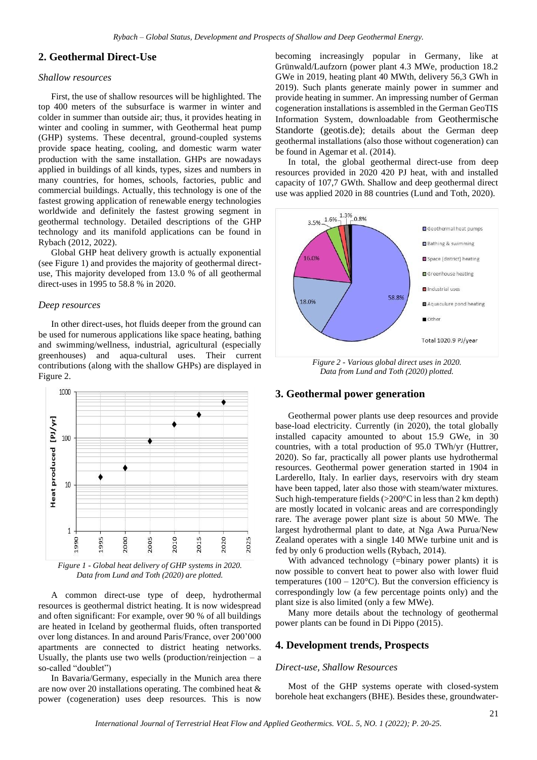## **2. Geothermal Direct-Use**

#### *Shallow resources*

First, the use of shallow resources will be highlighted. The top 400 meters of the subsurface is warmer in winter and colder in summer than outside air; thus, it provides heating in winter and cooling in summer, with Geothermal heat pump (GHP) systems. These decentral, ground-coupled systems provide space heating, cooling, and domestic warm water production with the same installation. GHPs are nowadays applied in buildings of all kinds, types, sizes and numbers in many countries, for homes, schools, factories, public and commercial buildings. Actually, this technology is one of the fastest growing application of renewable energy technologies worldwide and definitely the fastest growing segment in geothermal technology. Detailed descriptions of the GHP technology and its manifold applications can be found in Rybach (2012, 2022).

Global GHP heat delivery growth is actually exponential (see Figure 1) and provides the majority of geothermal directuse, This majority developed from 13.0 % of all geothermal direct-uses in 1995 to 58.8 % in 2020.

#### *Deep resources*

In other direct-uses, hot fluids deeper from the ground can be used for numerous applications like space heating, bathing and swimming/wellness, industrial, agricultural (especially greenhouses) and aqua-cultural uses. Their current contributions (along with the shallow GHPs) are displayed in Figure 2.



*Figure 1 - Global heat delivery of GHP systems in 2020. Data from Lund and Toth (2020) are plotted.*

A common direct-use type of deep, hydrothermal resources is geothermal district heating. It is now widespread and often significant: For example, over 90 % of all buildings are heated in Iceland by geothermal fluids, often transported over long distances. In and around Paris/France, over 200'000 apartments are connected to district heating networks. Usually, the plants use two wells (production/reinjection  $- a$ so-called "doublet")

In Bavaria/Germany, especially in the Munich area there are now over 20 installations operating. The combined heat & power (cogeneration) uses deep resources. This is now

becoming increasingly popular in Germany, like at Grünwald/Laufzorn (power plant 4.3 MWe, production 18.2 GWe in 2019, heating plant 40 MWth, delivery 56,3 GWh in 2019). Such plants generate mainly power in summer and provide heating in summer. An impressing number of German cogeneration installations is assembled in the German GeoTIS Information System, downloadable from [Geothermische](https://www.geotis.de/geotisapp/templates/powersumstatistic.php)  [Standorte \(geotis.de\)](https://www.geotis.de/geotisapp/templates/powersumstatistic.php); details about the German deep geothermal installations (also those without cogeneration) can be found in Agemar et al. (2014).

In total, the global geothermal direct-use from deep resources provided in 2020 420 PJ heat, with and installed capacity of 107,7 GWth. Shallow and deep geothermal direct use was applied 2020 in 88 countries (Lund and Toth, 2020).



*Figure 2 - Various global direct uses in 2020. Data from Lund and Toth (2020) plotted.*

## **3. Geothermal power generation**

Geothermal power plants use deep resources and provide base-load electricity. Currently (in 2020), the total globally installed capacity amounted to about 15.9 GWe, in 30 countries, with a total production of 95.0 TWh/yr (Huttrer, 2020). So far, practically all power plants use hydrothermal resources. Geothermal power generation started in 1904 in Larderello, Italy. In earlier days, reservoirs with dry steam have been tapped, later also those with steam/water mixtures. Such high-temperature fields  $(>200^{\circ}C)$  in less than 2 km depth) are mostly located in volcanic areas and are correspondingly rare. The average power plant size is about 50 MWe. The largest hydrothermal plant to date, at Nga Awa Purua/New Zealand operates with a single 140 MWe turbine unit and is fed by only 6 production wells (Rybach, 2014).

With advanced technology (=binary power plants) it is now possible to convert heat to power also with lower fluid temperatures ( $100 - 120$ °C). But the conversion efficiency is correspondingly low (a few percentage points only) and the plant size is also limited (only a few MWe).

Many more details about the technology of geothermal power plants can be found in Di Pippo (2015).

#### **4. Development trends, Prospects**

#### *Direct-use, Shallow Resources*

Most of the GHP systems operate with closed-system borehole heat exchangers (BHE). Besides these, groundwater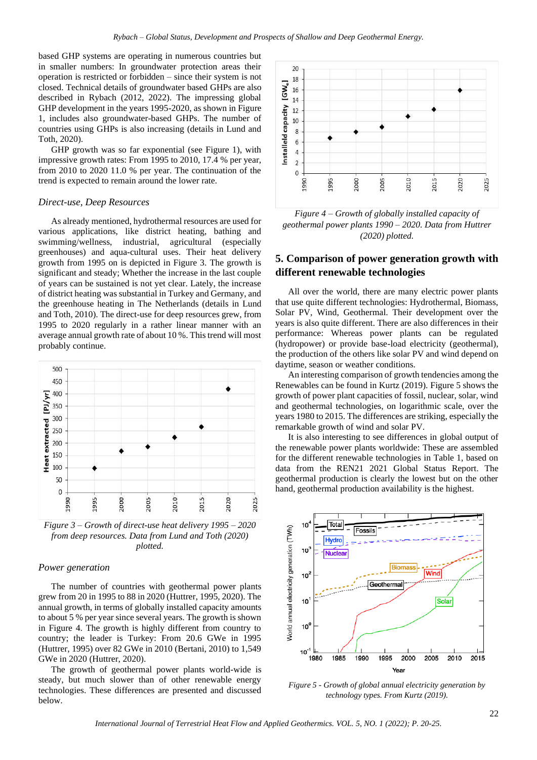based GHP systems are operating in numerous countries but in smaller numbers: In groundwater protection areas their operation is restricted or forbidden – since their system is not closed. Technical details of groundwater based GHPs are also described in Rybach (2012, 2022). The impressing global GHP development in the years 1995-2020, as shown in Figure 1, includes also groundwater-based GHPs. The number of countries using GHPs is also increasing (details in Lund and Toth, 2020).

GHP growth was so far exponential (see Figure 1), with impressive growth rates: From 1995 to 2010, 17.4 % per year, from 2010 to 2020 11.0 % per year. The continuation of the trend is expected to remain around the lower rate.

#### *Direct-use, Deep Resources*

As already mentioned, hydrothermal resources are used for various applications, like district heating, bathing and swimming/wellness, industrial, agricultural (especially greenhouses) and aqua-cultural uses. Their heat delivery growth from 1995 on is depicted in Figure 3. The growth is significant and steady; Whether the increase in the last couple of years can be sustained is not yet clear. Lately, the increase of district heating was substantial in Turkey and Germany, and the greenhouse heating in The Netherlands (details in Lund and Toth, 2010). The direct-use for deep resources grew, from 1995 to 2020 regularly in a rather linear manner with an average annual growth rate of about 10 %. This trend will most probably continue.



*Figure 3 – Growth of direct-use heat delivery 1995 – 2020 from deep resources. Data from Lund and Toth (2020) plotted.*

#### *Power generation*

The number of countries with geothermal power plants grew from 20 in 1995 to 88 in 2020 (Huttrer, 1995, 2020). The annual growth, in terms of globally installed capacity amounts to about 5 % per year since several years. The growth is shown in Figure 4. The growth is highly different from country to country; the leader is Turkey: From 20.6 GWe in 1995 (Huttrer, 1995) over 82 GWe in 2010 (Bertani, 2010) to 1,549 GWe in 2020 (Huttrer, 2020).

The growth of geothermal power plants world-wide is steady, but much slower than of other renewable energy technologies. These differences are presented and discussed below.



*Figure 4 – Growth of globally installed capacity of geothermal power plants 1990 – 2020. Data from Huttrer (2020) plotted.*

# **5. Comparison of power generation growth with different renewable technologies**

All over the world, there are many electric power plants that use quite different technologies: Hydrothermal, Biomass, Solar PV, Wind, Geothermal. Their development over the years is also quite different. There are also differences in their performance: Whereas power plants can be regulated (hydropower) or provide base-load electricity (geothermal), the production of the others like solar PV and wind depend on daytime, season or weather conditions.

An interesting comparison of growth tendencies among the Renewables can be found in Kurtz (2019). Figure 5 shows the growth of power plant capacities of fossil, nuclear, solar, wind and geothermal technologies, on logarithmic scale, over the years 1980 to 2015. The differences are striking, especially the remarkable growth of wind and solar PV.

It is also interesting to see differences in global output of the renewable power plants worldwide: These are assembled for the different renewable technologies in Table 1, based on data from the REN21 2021 Global Status Report. The geothermal production is clearly the lowest but on the other hand, geothermal production availability is the highest.



*Figure 5 - Growth of global annual electricity generation by technology types. From Kurtz (2019).*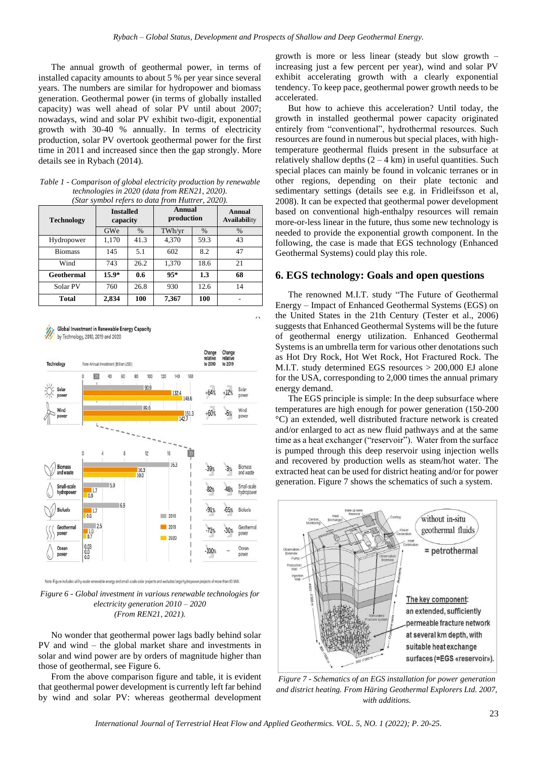The annual growth of geothermal power, in terms of installed capacity amounts to about 5 % per year since several years. The numbers are similar for hydropower and biomass generation. Geothermal power (in terms of globally installed capacity) was well ahead of solar PV until about 2007; nowadays, wind and solar PV exhibit two-digit, exponential growth with 30-40 % annually. In terms of electricity production, solar PV overtook geothermal power for the first time in 2011 and increased since then the gap strongly. More details see in Rybach (2014).

*Table 1 - Comparison of global electricity production by renewable technologies in 2020 (data from REN21, 2020). (Star symbol refers to data from Huttrer, 2020).*

| <b>Technology</b> | <b>Installed</b><br>capacity |      | Annual<br>production |               | <b>Annual</b><br><b>Availability</b> |
|-------------------|------------------------------|------|----------------------|---------------|--------------------------------------|
|                   | GWe                          | $\%$ | TWh/yr               | $\frac{0}{0}$ | $\%$                                 |
| Hydropower        | 1,170                        | 41.3 | 4,370                | 59.3          | 43                                   |
| <b>Biomass</b>    | 145                          | 5.1  | 602                  | 8.2           | 47                                   |
| Wind              | 743                          | 26.2 | 1,370                | 18.6          | 21                                   |
| Geothermal        | $15.9*$                      | 0.6  | $95*$                | 1.3           | 68                                   |
| Solar PV          | 760                          | 26.8 | 930                  | 12.6          | 14                                   |
| Total             | 2.834                        | 100  | 7,367                | 100           |                                      |



Note: Figure includes utility-scale renewable energy and small-scale solar projects and excludes large hydropower projects of more than 50 MW.

*Figure 6 - Global investment in various renewable technologies for electricity generation 2010 – 2020 (From REN21, 2021).*

No wonder that geothermal power lags badly behind solar PV and wind – the global market share and investments in solar and wind power are by orders of magnitude higher than those of geothermal, see Figure 6.

From the above comparison figure and table, it is evident that geothermal power development is currently left far behind by wind and solar PV: whereas geothermal development growth is more or less linear (steady but slow growth – increasing just a few percent per year), wind and solar PV exhibit accelerating growth with a clearly exponential tendency. To keep pace, geothermal power growth needs to be accelerated.

But how to achieve this acceleration? Until today, the growth in installed geothermal power capacity originated entirely from "conventional", hydrothermal resources. Such resources are found in numerous but special places, with hightemperature geothermal fluids present in the subsurface at relatively shallow depths  $(2 - 4 \text{ km})$  in useful quantities. Such special places can mainly be found in volcanic terranes or in other regions, depending on their plate tectonic and sedimentary settings (details see e.g. in Fridleifsson et al, 2008). It can be expected that geothermal power development based on conventional high-enthalpy resources will remain more-or-less linear in the future, thus some new technology is needed to provide the exponential growth component. In the following, the case is made that EGS technology (Enhanced Geothermal Systems) could play this role.

## **6. EGS technology: Goals and open questions**

The renowned M.I.T. study "The Future of Geothermal Energy – Impact of Enhanced Geothermal Systems (EGS) on the United States in the 21th Century (Tester et al., 2006) suggests that Enhanced Geothermal Systems will be the future of geothermal energy utilization. Enhanced Geothermal Systems is an umbrella term for various other denotations such as Hot Dry Rock, Hot Wet Rock, Hot Fractured Rock. The M.I.T. study determined EGS resources > 200,000 EJ alone for the USA, corresponding to 2,000 times the annual primary energy demand.

The EGS principle is simple: In the deep subsurface where temperatures are high enough for power generation (150-200 °C) an extended, well distributed fracture network is created and/or enlarged to act as new fluid pathways and at the same time as a heat exchanger ("reservoir"). Water from the surface is pumped through this deep reservoir using injection wells and recovered by production wells as steam/hot water. The extracted heat can be used for district heating and/or for power generation. Figure 7 shows the schematics of such a system.



*Figure 7 - Schematics of an EGS installation for power generation and district heating. From Häring Geothermal Explorers Ltd. 2007, with additions.*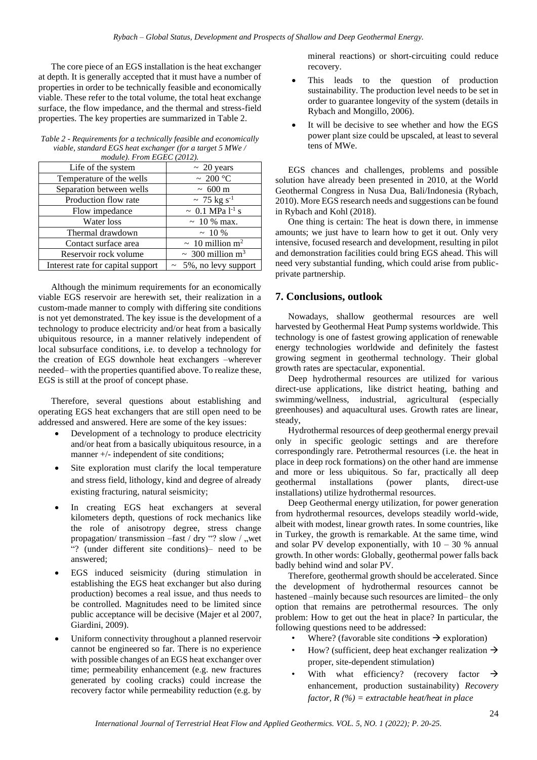The core piece of an EGS installation is the heat exchanger at depth. It is generally accepted that it must have a number of properties in order to be technically feasible and economically viable. These refer to the total volume, the total heat exchange surface, the flow impedance, and the thermal and stress-field properties. The key properties are summarized in Table 2.

| $m\omega u \nu v$ , $\cdots v$ . $\cdots$ . $\cdots$ . $\cdots$ |                                   |  |  |
|-----------------------------------------------------------------|-----------------------------------|--|--|
| Life of the system                                              | $\sim 20$ years                   |  |  |
| Temperature of the wells                                        | $\sim 200\,^{\circ}\mathrm{C}$    |  |  |
| Separation between wells                                        | $\sim 600 \text{ m}$              |  |  |
| Production flow rate                                            | $\sim$ 75 kg s <sup>-1</sup>      |  |  |
| Flow impedance                                                  | ~ 0.1 MPa $1^{-1}$ s              |  |  |
| Water loss                                                      | $\sim 10\%$ max.                  |  |  |
| Thermal drawdown                                                | $~10\%$                           |  |  |
| Contact surface area                                            | $\sim 10$ million m <sup>2</sup>  |  |  |
| Reservoir rock volume                                           | $\sim 300$ million m <sup>3</sup> |  |  |
| Interest rate for capital support                               | $\sim 5\%$ , no levy support      |  |  |

*Table 2 - Requirements for a technically feasible and economically viable, standard EGS heat exchanger (for a target 5 MWe / module). From EGEC (2012).*

Although the minimum requirements for an economically viable EGS reservoir are herewith set, their realization in a custom-made manner to comply with differing site conditions is not yet demonstrated. The key issue is the development of a technology to produce electricity and/or heat from a basically ubiquitous resource, in a manner relatively independent of local subsurface conditions, i.e. to develop a technology for the creation of EGS downhole heat exchangers –wherever needed– with the properties quantified above. To realize these, EGS is still at the proof of concept phase.

Therefore, several questions about establishing and operating EGS heat exchangers that are still open need to be addressed and answered. Here are some of the key issues:

- Development of a technology to produce electricity and/or heat from a basically ubiquitous resource, in a manner +/- independent of site conditions;
- Site exploration must clarify the local temperature and stress field, lithology, kind and degree of already existing fracturing, natural seismicity;
- In creating EGS heat exchangers at several kilometers depth, questions of rock mechanics like the role of anisotropy degree, stress change propagation/ transmission –fast / dry "? slow / ,wet "? (under different site conditions)– need to be answered;
- EGS induced seismicity (during stimulation in establishing the EGS heat exchanger but also during production) becomes a real issue, and thus needs to be controlled. Magnitudes need to be limited since public acceptance will be decisive (Majer et al 2007, Giardini, 2009).
- Uniform connectivity throughout a planned reservoir cannot be engineered so far. There is no experience with possible changes of an EGS heat exchanger over time; permeability enhancement (e.g. new fractures generated by cooling cracks) could increase the recovery factor while permeability reduction (e.g. by

mineral reactions) or short-circuiting could reduce recovery.

- This leads to the question of production sustainability. The production level needs to be set in order to guarantee longevity of the system (details in Rybach and Mongillo, 2006).
- It will be decisive to see whether and how the EGS power plant size could be upscaled, at least to several tens of MWe.

EGS chances and challenges, problems and possible solution have already been presented in 2010, at the World Geothermal Congress in Nusa Dua, Bali/Indonesia (Rybach, 2010). More EGS research needs and suggestions can be found in Rybach and Kohl (2018).

One thing is certain: The heat is down there, in immense amounts; we just have to learn how to get it out. Only very intensive, focused research and development, resulting in pilot and demonstration facilities could bring EGS ahead. This will need very substantial funding, which could arise from publicprivate partnership.

# **7. Conclusions, outlook**

Nowadays, shallow geothermal resources are well harvested by Geothermal Heat Pump systems worldwide. This technology is one of fastest growing application of renewable energy technologies worldwide and definitely the fastest growing segment in geothermal technology. Their global growth rates are spectacular, exponential.

Deep hydrothermal resources are utilized for various direct-use applications, like district heating, bathing and swimming/wellness, industrial, agricultural (especially greenhouses) and aquacultural uses. Growth rates are linear, steady,

Hydrothermal resources of deep geothermal energy prevail only in specific geologic settings and are therefore correspondingly rare. Petrothermal resources (i.e. the heat in place in deep rock formations) on the other hand are immense and more or less ubiquitous. So far, practically all deep geothermal installations (power plants, direct-use installations) utilize hydrothermal resources.

Deep Geothermal energy utilization, for power generation from hydrothermal resources, develops steadily world-wide, albeit with modest, linear growth rates. In some countries, like in Turkey, the growth is remarkable. At the same time, wind and solar PV develop exponentially, with  $10 - 30$  % annual growth. In other words: Globally, geothermal power falls back badly behind wind and solar PV.

Therefore, geothermal growth should be accelerated. Since the development of hydrothermal resources cannot be hastened –mainly because such resources are limited– the only option that remains are petrothermal resources. The only problem: How to get out the heat in place? In particular, the following questions need to be addressed:

- Where? (favorable site conditions  $\rightarrow$  exploration)
- How? (sufficient, deep heat exchanger realization  $\rightarrow$ proper, site-dependent stimulation)
- With what efficiency? (recovery factor  $\rightarrow$ enhancement, production sustainability) *Recovery factor, R (%) = extractable heat/heat in place*